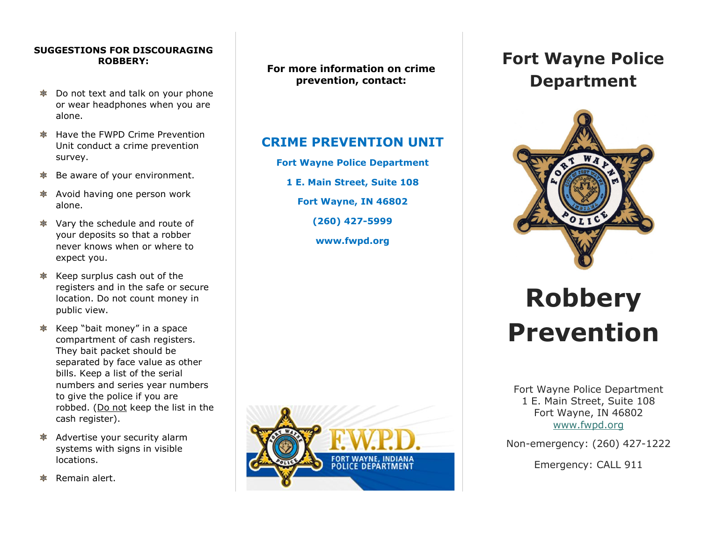#### **SUGGESTIONS FOR DISCOURAGING ROBBERY:**

- Do not text and talk on your phone 攻 or wear headphones when you are alone.
- $\frac{1}{2}$  Have the FWPD Crime Prevention Unit conduct a crime prevention survey.
- Be aware of your environment. 本
- Avoid having one person work 本 alone.
- Vary the schedule and route of your deposits so that a robber never knows when or where to expect you.
- $*$  Keep surplus cash out of the registers and in the safe or secure location. Do not count money in public view.
- $*$  Keep "bait money" in a space compartment of cash registers. They bait packet should be separated by face value as other bills. Keep a list of the serial numbers and series year numbers to give the police if you are robbed. (Do not keep the list in the cash register).
- Advertise your security alarm systems with signs in visible locations.
- Remain alert.

**For more information on crime prevention, contact:**

### **CRIME PREVENTION UNIT**

**Fort Wayne Police Department 1 E. Main Street, Suite 108**

**Fort Wayne, IN 46802**

**(260) 427-5999**

**www.fwpd.org**



## **Fort Wayne Police Department**



# **Robbery Prevention**

Fort Wayne Police Department 1 E. Main Street, Suite 108 Fort Wayne, IN 46802 [www.fwpd.org](http://www.fwpd.org/)

Non-emergency: (260) 427-1222

Emergency: CALL 911